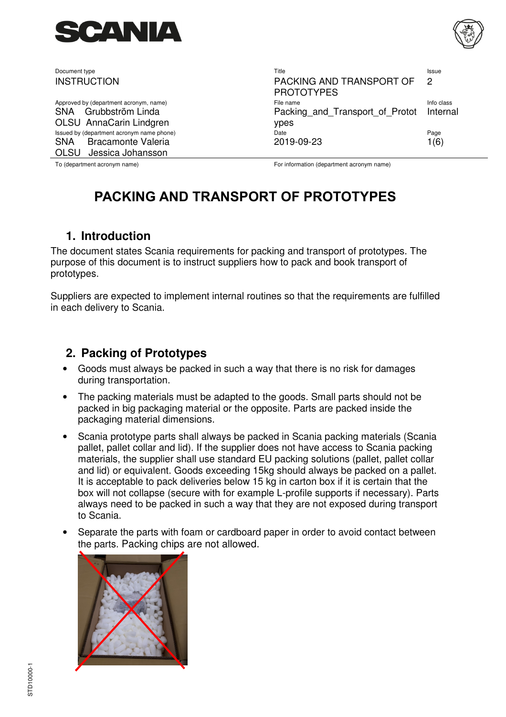

SNA Grubbström Linda OLSU AnnaCarin Lindgren SNA Bracamonte Valeria OLSU Jessica Johansson

Document type Title Issue INSTRUCTION PACKING AND TRANSPORT OF PROTOTYPES  $\mathfrak{p}$ Approved by (department acronym, name) and the state of the name Info class and the class of the name Info class Packing and Transport of Protot ypes Internal Issued by (department acronym name phone) Date Page 2019-09-23 1(6)

To (department acronym name) example acronym name has been acronym name for information (department acronym name)

# **PACKING AND TRANSPORT OF PROTOTYPES**

### **1. Introduction**

The document states Scania requirements for packing and transport of prototypes. The purpose of this document is to instruct suppliers how to pack and book transport of prototypes.

Suppliers are expected to implement internal routines so that the requirements are fulfilled in each delivery to Scania.

### **2. Packing of Prototypes**

- Goods must always be packed in such a way that there is no risk for damages during transportation.
- The packing materials must be adapted to the goods. Small parts should not be packed in big packaging material or the opposite. Parts are packed inside the packaging material dimensions.
- Scania prototype parts shall always be packed in Scania packing materials (Scania pallet, pallet collar and lid). If the supplier does not have access to Scania packing materials, the supplier shall use standard EU packing solutions (pallet, pallet collar and lid) or equivalent. Goods exceeding 15kg should always be packed on a pallet. It is acceptable to pack deliveries below 15 kg in carton box if it is certain that the box will not collapse (secure with for example L-profile supports if necessary). Parts always need to be packed in such a way that they are not exposed during transport to Scania.
- Separate the parts with foam or cardboard paper in order to avoid contact between the parts. Packing chips are not allowed.

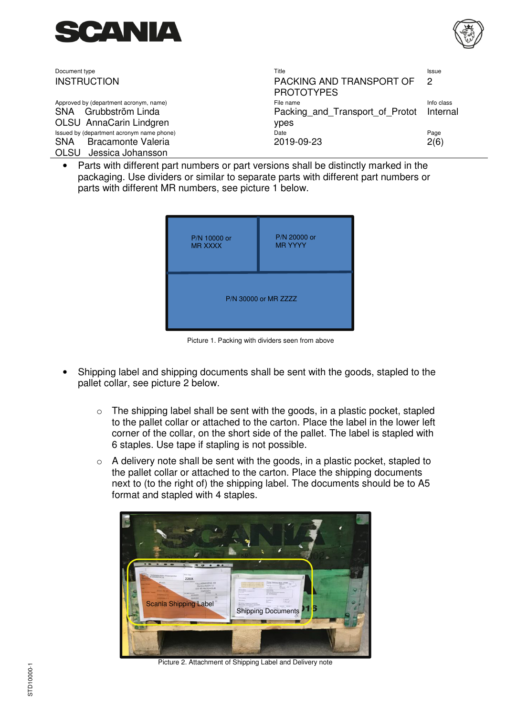



| Document type                             | Title                                         | Issue          |
|-------------------------------------------|-----------------------------------------------|----------------|
| <b>INSTRUCTION</b>                        | PACKING AND TRANSPORT OF<br><b>PROTOTYPES</b> | $\overline{2}$ |
| Approved by (department acronym, name)    | File name                                     | Info class     |
| SNA Grubbström Linda                      | Packing and Transport of Protot Internal      |                |
| OLSU AnnaCarin Lindgren                   | ypes                                          |                |
| Issued by (department acronym name phone) | Date                                          | Page           |
| <b>Bracamonte Valeria</b><br><b>SNA</b>   | 2019-09-23                                    | 2(6)           |
| OLSU Jessica Johansson                    |                                               |                |

Parts with different part numbers or part versions shall be distinctly marked in the packaging. Use dividers or similar to separate parts with different part numbers or parts with different MR numbers, see picture 1 below.



Picture 1. Packing with dividers seen from above

- Shipping label and shipping documents shall be sent with the goods, stapled to the pallet collar, see picture 2 below.
	- $\circ$  The shipping label shall be sent with the goods, in a plastic pocket, stapled to the pallet collar or attached to the carton. Place the label in the lower left corner of the collar, on the short side of the pallet. The label is stapled with 6 staples. Use tape if stapling is not possible.
	- $\circ$  A delivery note shall be sent with the goods, in a plastic pocket, stapled to the pallet collar or attached to the carton. Place the shipping documents next to (to the right of) the shipping label. The documents should be to A5 format and stapled with 4 staples.



Picture 2. Attachment of Shipping Label and Delivery note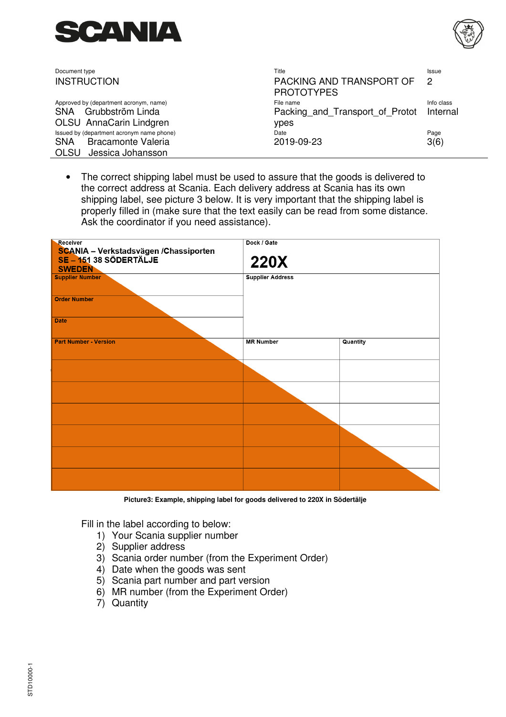



| Document type                             | Title                                         | <b>Issue</b> |
|-------------------------------------------|-----------------------------------------------|--------------|
| <b>INSTRUCTION</b>                        | PACKING AND TRANSPORT OF<br><b>PROTOTYPES</b> | -2           |
| Approved by (department acronym, name)    | File name                                     | Info class   |
| SNA Grubbström Linda                      | Packing and Transport of Protot Internal      |              |
| OLSU AnnaCarin Lindgren                   | ypes                                          |              |
| Issued by (department acronym name phone) | Date                                          | Page         |
| <b>Bracamonte Valeria</b><br><b>SNA</b>   | 2019-09-23                                    | 3(6)         |
| Jessica Johansson<br>OLSU                 |                                               |              |

• The correct shipping label must be used to assure that the goods is delivered to the correct address at Scania. Each delivery address at Scania has its own shipping label, see picture 3 below. It is very important that the shipping label is properly filled in (make sure that the text easily can be read from some distance. Ask the coordinator if you need assistance).

| Receiver<br>SCANIA - Verkstadsvägen /Chassiporten<br>SE - 151 38 SÖDERTÄLJE<br><b>SWEDEN</b> | Dock / Gate<br><b>220X</b> |          |
|----------------------------------------------------------------------------------------------|----------------------------|----------|
| <b>Supplier Number</b><br><b>Order Number</b>                                                | <b>Supplier Address</b>    |          |
| <b>Date</b>                                                                                  |                            |          |
| <b>Part Number - Version</b>                                                                 | <b>MR Number</b>           | Quantity |
|                                                                                              |                            |          |
|                                                                                              |                            |          |
|                                                                                              |                            |          |
|                                                                                              |                            |          |
|                                                                                              |                            |          |
|                                                                                              |                            |          |

**Picture3: Example, shipping label for goods delivered to 220X in Södertälje** 

Fill in the label according to below:

- 1) Your Scania supplier number
- 2) Supplier address
- 3) Scania order number (from the Experiment Order)
- 4) Date when the goods was sent
- 5) Scania part number and part version
- 6) MR number (from the Experiment Order)
- 7) Quantity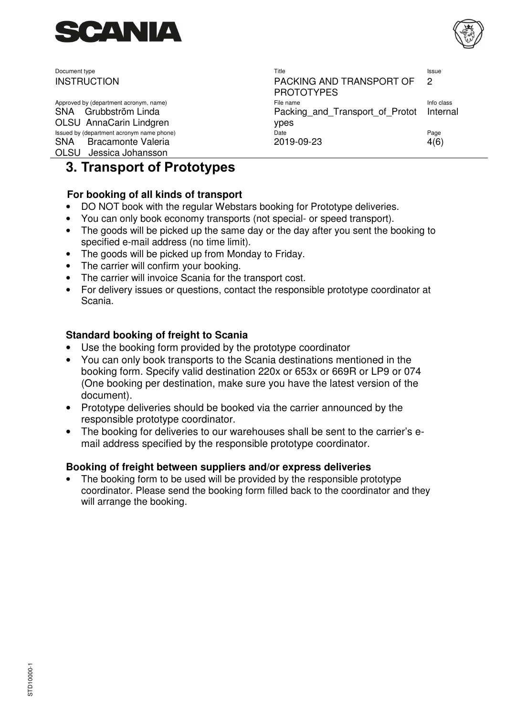

Approved by (department acronym, name) SNA Grubbström Linda OLSU AnnaCarin Lindgren Issued by (department acronym name phone) SNA Bracamonte Valeria OLSU Jessica Johansson

| Document type                                                                                 | Title                                                         | <b>Issue</b> |
|-----------------------------------------------------------------------------------------------|---------------------------------------------------------------|--------------|
| <b>INSTRUCTION</b>                                                                            | PACKING AND TRANSPORT OF 2<br><b>PROTOTYPES</b>               |              |
| Approved by (department acronym, name)<br>SNA Grubbström Linda<br>OLSU AnnaCarin Lindgren     | File name<br>Packing and Transport of Protot Internal<br>ypes | Info class   |
| Issued by (department acronym name phone)<br>SNA Bracamonte Valeria<br>OLSU Loccica Iohanccon | Date<br>2019-09-23                                            | Page<br>4(6) |

# **3. Transport of Prototypes**

#### **For booking of all kinds of transport**

- DO NOT book with the regular Webstars booking for Prototype deliveries.
- You can only book economy transports (not special- or speed transport).
- The goods will be picked up the same day or the day after you sent the booking to specified e-mail address (no time limit).
- The goods will be picked up from Monday to Friday.
- The carrier will confirm your booking.
- The carrier will invoice Scania for the transport cost.
- For delivery issues or questions, contact the responsible prototype coordinator at Scania.

#### **Standard booking of freight to Scania**

- Use the booking form provided by the prototype coordinator
- You can only book transports to the Scania destinations mentioned in the booking form. Specify valid destination 220x or 653x or 669R or LP9 or 074 (One booking per destination, make sure you have the latest version of the document).
- Prototype deliveries should be booked via the carrier announced by the responsible prototype coordinator.
- The booking for deliveries to our warehouses shall be sent to the carrier's email address specified by the responsible prototype coordinator.

#### **Booking of freight between suppliers and/or express deliveries**

The booking form to be used will be provided by the responsible prototype coordinator. Please send the booking form filled back to the coordinator and they will arrange the booking.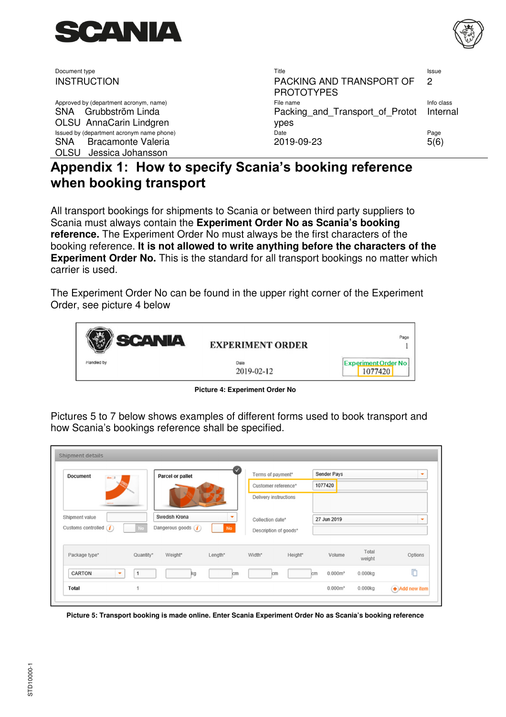

Approved by (department acronym, name) SNA Grubbström Linda OLSU AnnaCarin Lindgren Issued by (department acronym name phone) SNA Bracamonte Valeria OLSU Jessica Johansson

| Document type                                                                                    | Title                                                         | <b>Issue</b> |
|--------------------------------------------------------------------------------------------------|---------------------------------------------------------------|--------------|
| <b>INSTRUCTION</b>                                                                               | PACKING AND TRANSPORT OF 2<br><b>PROTOTYPES</b>               |              |
| Approved by (department acronym, name)<br>SNA Grubbström Linda<br><b>OLSU</b> AnnaCarin Lindgren | File name<br>Packing and Transport of Protot Internal<br>ypes | Info class   |
| Issued by (department acronym name phone)<br>SNA Bracamonte Valeria<br>$\bigcap \bigcap$         | Date<br>2019-09-23                                            | Page<br>5(6) |

# **Appendix 1: How to specify Scania's booking reference when booking transport**

All transport bookings for shipments to Scania or between third party suppliers to Scania must always contain the **Experiment Order No as Scania's booking reference.** The Experiment Order No must always be the first characters of the booking reference. **It is not allowed to write anything before the characters of the Experiment Order No.** This is the standard for all transport bookings no matter which carrier is used.

The Experiment Order No can be found in the upper right corner of the Experiment Order, see picture 4 below



**Picture 4: Experiment Order No** 

Pictures 5 to 7 below shows examples of different forms used to book transport and how Scania's bookings reference shall be specified.

| <b>Document</b><br>$doc$ $2$               | <b>Parcel or pallet</b> |                                        | Terms of payment* |                       | Sender Pays |                           | ۰               |         |
|--------------------------------------------|-------------------------|----------------------------------------|-------------------|-----------------------|-------------|---------------------------|-----------------|---------|
|                                            |                         |                                        |                   | Customer reference*   |             | 1077420                   |                 |         |
|                                            |                         |                                        |                   | Delivery instructions |             |                           |                 |         |
| Shipment value<br>Customs controlled $(i)$ | No                      | Swedish Krona<br>Dangerous goods $(i)$ | <b>No</b>         | Collection date*      |             | 27 Jun 2019               |                 |         |
|                                            |                         |                                        |                   | Description of goods* |             |                           |                 |         |
|                                            |                         |                                        |                   |                       |             |                           |                 |         |
| Package type*                              | Quantity*               | Weight*                                | Length*           | Width*                | Height*     | Volume                    | Total<br>weight | Options |
| CARTON                                     | $\mathbf{1}$<br>٠       | kg                                     | cm                | <b>cm</b>             |             | 0.000m <sup>3</sup><br>cm | 0.000kg         | ħ       |

**Picture 5: Transport booking is made online. Enter Scania Experiment Order No as Scania's booking reference**